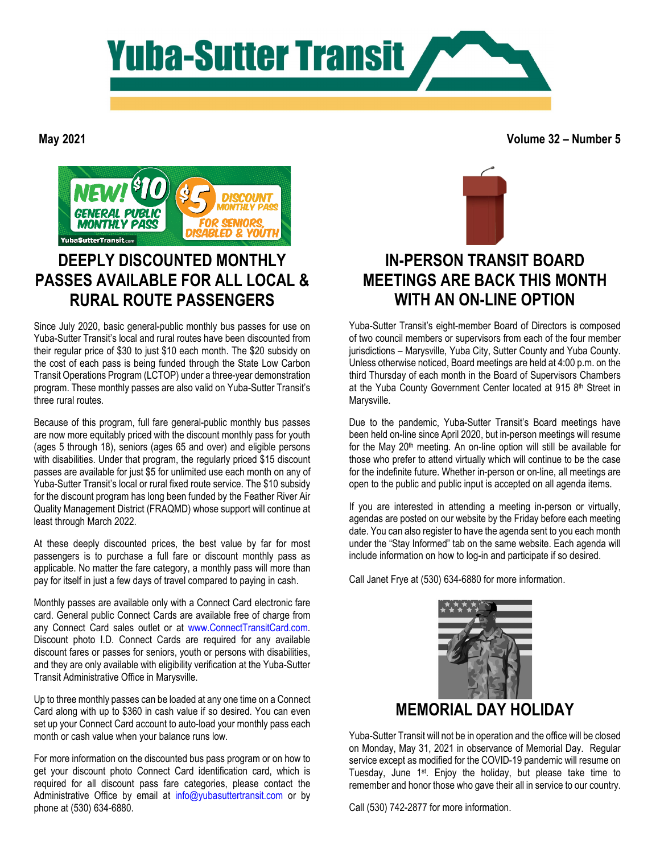

**May 2021**

**Volume 32 – Number 5**



# **DEEPLY DISCOUNTED MONTHLY PASSES AVAILABLE FOR ALL LOCAL & RURAL ROUTE PASSENGERS**

Since July 2020, basic general-public monthly bus passes for use on Yuba-Sutter Transit's local and rural routes have been discounted from their regular price of \$30 to just \$10 each month. The \$20 subsidy on the cost of each pass is being funded through the State Low Carbon Transit Operations Program (LCTOP) under a three-year demonstration program. These monthly passes are also valid on Yuba-Sutter Transit's three rural routes.

Because of this program, full fare general-public monthly bus passes are now more equitably priced with the discount monthly pass for youth (ages 5 through 18), seniors (ages 65 and over) and eligible persons with disabilities. Under that program, the regularly priced \$15 discount passes are available for just \$5 for unlimited use each month on any of Yuba-Sutter Transit's local or rural fixed route service. The \$10 subsidy for the discount program has long been funded by the Feather River Air Quality Management District (FRAQMD) whose support will continue at least through March 2022.

At these deeply discounted prices, the best value by far for most passengers is to purchase a full fare or discount monthly pass as applicable. No matter the fare category, a monthly pass will more than pay for itself in just a few days of travel compared to paying in cash.

Monthly passes are available only with a Connect Card electronic fare card. General public Connect Cards are available free of charge from any Connect Card sales outlet or at [www.ConnectTransitCard.com.](http://www.connecttransitcard.com/)  Discount photo I.D. Connect Cards are required for any available discount fares or passes for seniors, youth or persons with disabilities, and they are only available with eligibility verification at the Yuba-Sutter Transit Administrative Office in Marysville.

Up to three monthly passes can be loaded at any one time on a Connect Card along with up to \$360 in cash value if so desired. You can even set up your Connect Card account to auto-load your monthly pass each month or cash value when your balance runs low.

For more information on the discounted bus pass program or on how to get your discount photo Connect Card identification card, which is required for all discount pass fare categories, please contact the Administrative Office by email at [info@yubasuttertransit.com](mailto:info@yubasuttertransit.com) or by phone at (530) 634-6880.



## **IN-PERSON TRANSIT BOARD MEETINGS ARE BACK THIS MONTH WITH AN ON-LINE OPTION**

Yuba-Sutter Transit's eight-member Board of Directors is composed of two council members or supervisors from each of the four member jurisdictions – Marysville, Yuba City, Sutter County and Yuba County. Unless otherwise noticed, Board meetings are held at 4:00 p.m. on the third Thursday of each month in the Board of Supervisors Chambers at the Yuba County Government Center located at 915 8<sup>th</sup> Street in Marysville.

Due to the pandemic, Yuba-Sutter Transit's Board meetings have been held on-line since April 2020, but in-person meetings will resume for the May 20th meeting. An on-line option will still be available for those who prefer to attend virtually which will continue to be the case for the indefinite future. Whether in-person or on-line, all meetings are open to the public and public input is accepted on all agenda items.

If you are interested in attending a meeting in-person or virtually, agendas are posted on our website by the Friday before each meeting date. You can also register to have the agenda sent to you each month under the "Stay Informed" tab on the same website. Each agenda will include information on how to log-in and participate if so desired.

Call Janet Frye at (530) 634-6880 for more information.



Yuba-Sutter Transit will not be in operation and the office will be closed on Monday, May 31, 2021 in observance of Memorial Day. Regular service except as modified for the COVID-19 pandemic will resume on Tuesday, June 1st. Enjoy the holiday, but please take time to remember and honor those who gave their all in service to our country.

Call (530) 742-2877 for more information.